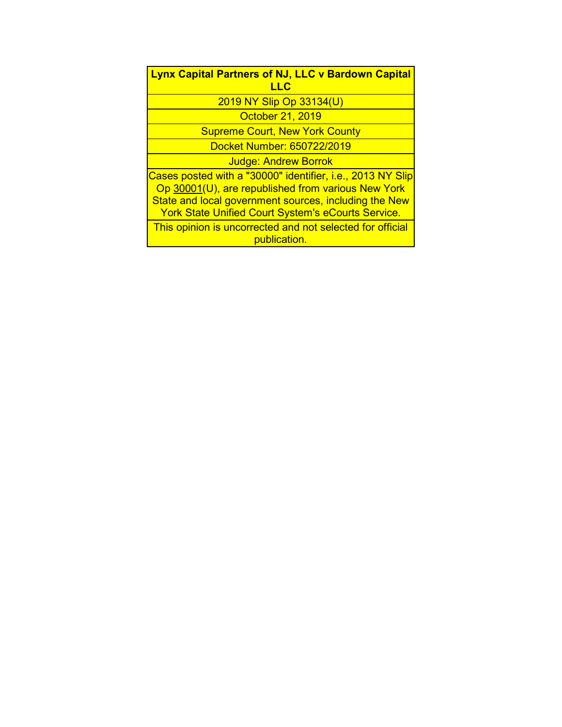| <b>Lynx Capital Partners of NJ, LLC v Bardown Capital</b><br>LLC                                                                                                                                                                       |  |  |  |  |
|----------------------------------------------------------------------------------------------------------------------------------------------------------------------------------------------------------------------------------------|--|--|--|--|
| 2019 NY Slip Op 33134(U)                                                                                                                                                                                                               |  |  |  |  |
| October 21, 2019                                                                                                                                                                                                                       |  |  |  |  |
| <b>Supreme Court, New York County</b>                                                                                                                                                                                                  |  |  |  |  |
| Docket Number: 650722/2019                                                                                                                                                                                                             |  |  |  |  |
| <b>Judge: Andrew Borrok</b>                                                                                                                                                                                                            |  |  |  |  |
| Cases posted with a "30000" identifier, i.e., 2013 NY Slip<br>Op 30001(U), are republished from various New York<br>State and local government sources, including the New<br><b>York State Unified Court System's eCourts Service.</b> |  |  |  |  |
| This opinion is uncorrected and not selected for official<br>publication.                                                                                                                                                              |  |  |  |  |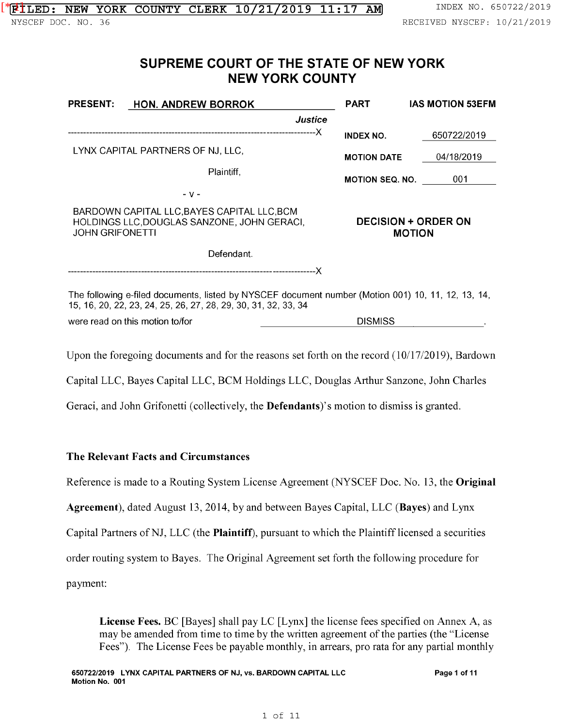# **SUPREME COURT OF THE STATE OF NEW YORK NEW YORK COUNTY**

| <b>PRESENT:</b>                                                                                                      | <b>HON. ANDREW BORROK</b>                                                                                                                                            | <b>PART</b>            | <b>IAS MOTION 53EFM</b>                     |  |
|----------------------------------------------------------------------------------------------------------------------|----------------------------------------------------------------------------------------------------------------------------------------------------------------------|------------------------|---------------------------------------------|--|
|                                                                                                                      | <b>Justice</b>                                                                                                                                                       |                        |                                             |  |
|                                                                                                                      |                                                                                                                                                                      | <b>INDEX NO.</b>       | 650722/2019                                 |  |
| LYNX CAPITAL PARTNERS OF NJ, LLC,                                                                                    |                                                                                                                                                                      | <b>MOTION DATE</b>     | 04/18/2019                                  |  |
|                                                                                                                      | Plaintiff,                                                                                                                                                           | <b>MOTION SEQ. NO.</b> | 001                                         |  |
|                                                                                                                      | - v -                                                                                                                                                                |                        |                                             |  |
| BARDOWN CAPITAL LLC, BAYES CAPITAL LLC, BCM<br>HOLDINGS LLC, DOUGLAS SANZONE, JOHN GERACI,<br><b>JOHN GRIFONETTI</b> |                                                                                                                                                                      |                        | <b>DECISION + ORDER ON</b><br><b>MOTION</b> |  |
| Defendant.                                                                                                           |                                                                                                                                                                      |                        |                                             |  |
|                                                                                                                      |                                                                                                                                                                      |                        |                                             |  |
|                                                                                                                      | The following e-filed documents, listed by NYSCEF document number (Motion 001) 10, 11, 12, 13, 14,<br>15, 16, 20, 22, 23, 24, 25, 26, 27, 28, 29, 30, 31, 32, 33, 34 |                        |                                             |  |
|                                                                                                                      | were read on this motion to/for                                                                                                                                      | <b>DISMISS</b>         |                                             |  |

Upon the foregoing documents and for the reasons set forth on the record ( 10/17/2019), Bardown

Capital LLC, Bayes Capital LLC, BCM Holdings LLC, Douglas Arthur Sanzone, John Charles

Geraci, and John Grifonetti (collectively, the **Defendants**)'s motion to dismiss is granted.

# The Relevant Facts and Circumstances

Reference is made to a Routing System License Agreement (NYSCEF Doc. No. 13, the Original

Agreement), dated August 13, 2014, by and between Bayes Capital, LLC (Bayes) and Lynx

Capital Partners of NJ, LLC (the Plaintiff), pursuant to which the Plaintiff licensed a securities

order routing system to Bayes. The Original Agreement set forth the following procedure for

payment:

License Fees. BC [Bayes] shall pay LC [Lynx] the license fees specified on Annex A, as may be amended from time to time by the written agreement of the parties (the "License Fees"). The License Fees be payable monthly, in arrears, pro rata for any partial monthly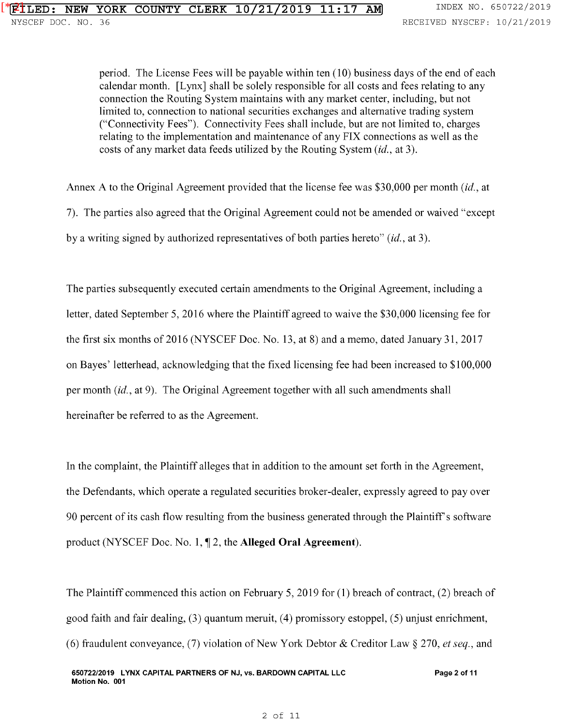period. The License Fees will be payable within ten (10) business days of the end of each calendar month. [Lynx] shall be solely responsible for all costs and fees relating to any connection the Routing System maintains with any market center, including, but not limited to, connection to national securities exchanges and alternative trading system ("Connectivity Fees"). Connectivity Fees shall include, but are not limited to, charges relating to the implementation and maintenance of any FIX connections as well as the costs of any market data feeds utilized by the Routing System (id., at 3).

Annex A to the Original Agreement provided that the license fee was \$30,000 per month (id., at

7). The parties also agreed that the Original Agreement could not be amended or waived "except

by a writing signed by authorized representatives of both parties hereto" (id., at 3).

The parties subsequently executed certain amendments to the Original Agreement, including a letter, dated September 5, 2016 where the Plaintiff agreed to waive the \$30,000 licensing fee for the first six months of 2016 (NYSCEF Doc. No. 13, at 8) and a memo, dated January 31, 2017 on Bayes' letterhead, acknowledging that the fixed licensing fee had been increased to \$100,000 per month (id., at 9). The Original Agreement together with all such amendments shall hereinafter be referred to as the Agreement.

In the complaint, the Plaintiff alleges that in addition to the amount set forth in the Agreement, the Defendants, which operate a regulated securities broker-dealer, expressly agreed to pay over 90 percent of its cash flow resulting from the business generated through the Plaintiff's software product (NYSCEF Doc. No. 1, 1, 2, the **Alleged Oral Agreement**).

The Plaintiff commenced this action on February 5, 2019 for (1) breach of contract, (2) breach of good faith and fair dealing, (3) quantum meruit, (4) promissory estoppel, (5) unjust enrichment, (6) fraudulent conveyance, (7) violation of New York Debtor & Creditor Law§ 270, *et seq.,* and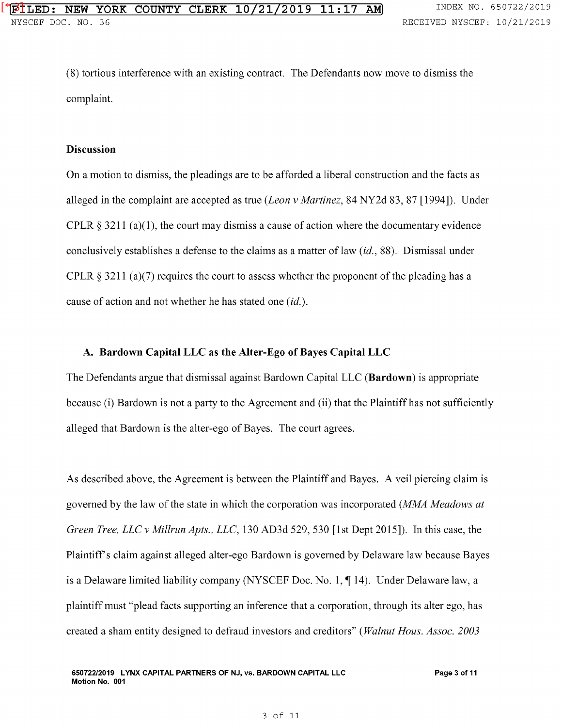(8) tortious interference with an existing contract. The Defendants now move to dismiss the complaint.

#### **Discussion**

On a motion to dismiss, the pleadings are to be afforded a liberal construction and the facts as alleged in the complaint are accepted as true *(Leon v Martinez,* 84 NY2d 83, 87 [1994]). Under CPLR  $\S 3211$  (a)(1), the court may dismiss a cause of action where the documentary evidence conclusively establishes a defense to the claims as a matter of law *(id., 88)*. Dismissal under CPLR  $\S 3211$  (a)(7) requires the court to assess whether the proponent of the pleading has a cause of action and not whether he has stated one *(id.).* 

### **A. Bardown Capital LLC as the Alter-Ego of Bayes Capital LLC**

The Defendants argue that dismissal against Bardown Capital LLC **(Bardown)** is appropriate because (i) Bardown is not a party to the Agreement and (ii) that the Plaintiff has not sufficiently alleged that Bardown is the alter-ego of Bayes. The court agrees.

As described above, the Agreement is between the Plaintiff and Bayes. A veil piercing claim is governed by the law of the state in which the corporation was incorporated *(MMA Meadows at Green Tree, LLC v Millrun Apts., LLC,* 130 AD3d 529, 530 [1st Dept 2015]). In this case, the Plaintiffs claim against alleged alter-ego Bardown is governed by Delaware law because Bayes is a Delaware limited liability company (NYSCEF Doc. No. 1,  $\P$  14). Under Delaware law, a plaintiff must "plead facts supporting an inference that a corporation, through its alter ego, has created a sham entity designed to defraud investors and creditors" *(Walnut Haus. Assoc. 2003*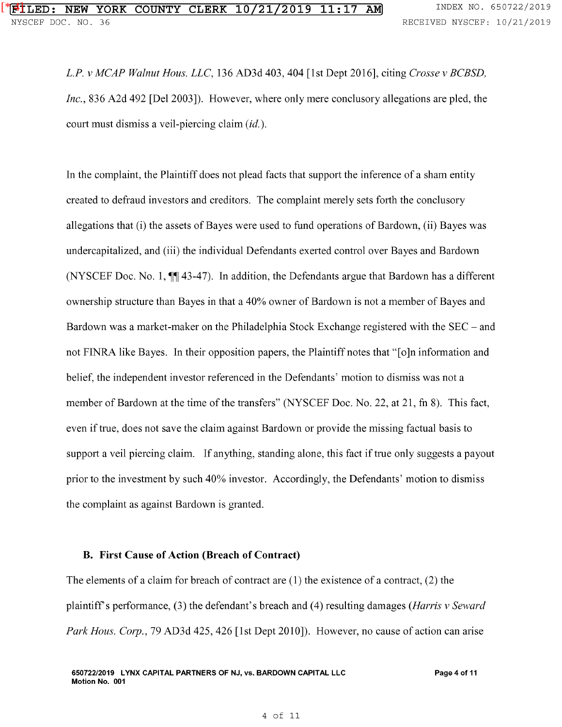*L.P. v MCAP Walnut Haus. LLC,* 136 AD3d 403, 404 [1st Dept 2016], citing *Crosse v BCBSD, Inc.,* 836 A2d 492 [Del 2003]). However, where only mere conclusory allegations are pled, the court must dismiss a veil-piercing claim *(id.).* 

In the complaint, the Plaintiff does not plead facts that support the inference of a sham entity created to defraud investors and creditors. The complaint merely sets forth the conclusory allegations that (i) the assets of Bayes were used to fund operations of Bardown, (ii) Bayes was undercapitalized, and (iii) the individual Defendants exerted control over Bayes and Bardown (NYSCEF Doc. No. 1,  $\P$  $(43-47)$ ). In addition, the Defendants argue that Bardown has a different ownership structure than Bayes in that a 40% owner of Bardown is not a member of Bayes and Bardown was a market-maker on the Philadelphia Stock Exchange registered with the SEC – and not FINRA like Bayes. In their opposition papers, the Plaintiff notes that "[o]n information and belief, the independent investor referenced in the Defendants' motion to dismiss was not a member of Bardown at the time of the transfers" (NYSCEF Doc. No. 22, at 21, fn 8). This fact, even if true, does not save the claim against Bardown or provide the missing factual basis to support a veil piercing claim. If anything, standing alone, this fact if true only suggests a payout prior to the investment by such 40% investor. Accordingly, the Defendants' motion to dismiss the complaint as against Bardown is granted.

#### **B. First Cause of Action (Breach of Contract)**

The elements of a claim for breach of contract are  $(1)$  the existence of a contract,  $(2)$  the plaintiff's performance, (3) the defendant's breach and (4) resulting damages *(Harris v Seward Park Haus. Corp.,* 79 AD3d 425, 426 [1st Dept 2010]). However, no cause of action can arise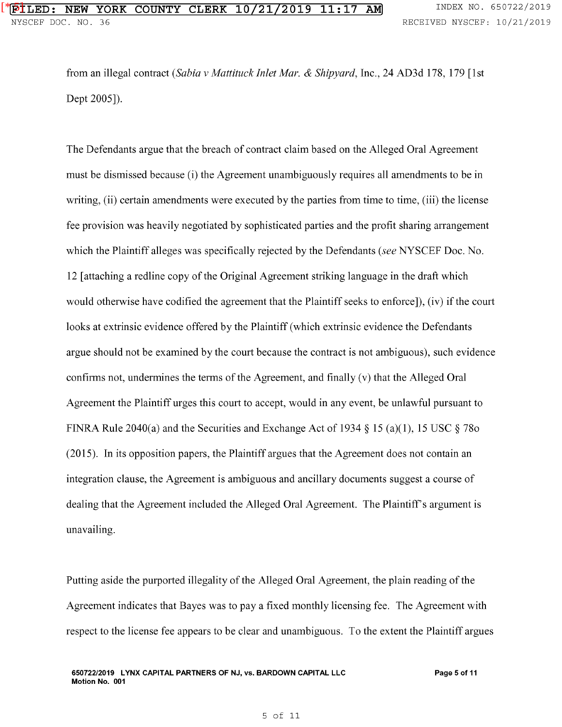from an illegal contract *(Sabia v Mattituck Inlet Mar.* & *Shipyard,* Inc., 24 AD3d 178, 179 [1st Dept 2005]).

The Defendants argue that the breach of contract claim based on the Alleged Oral Agreement must be dismissed because (i) the Agreement unambiguously requires all amendments to be in writing, (ii) certain amendments were executed by the parties from time to time, (iii) the license fee provision was heavily negotiated by sophisticated parties and the profit sharing arrangement which the Plaintiff alleges was specifically rejected by the Defendants *(see* NYSCEF Doc. No. 12 [attaching a redline copy of the Original Agreement striking language in the draft which would otherwise have codified the agreement that the Plaintiff seeks to enforce]), (iv) if the court looks at extrinsic evidence offered by the Plaintiff (which extrinsic evidence the Defendants argue should not be examined by the court because the contract is not ambiguous), such evidence confirms not, undermines the terms of the Agreement, and finally (v) that the Alleged Oral Agreement the Plaintiff urges this court to accept, would in any event, be unlawful pursuant to FINRA Rule 2040(a) and the Securities and Exchange Act of 1934 § 15 (a)(1), 15 USC § 780 (2015). In its opposition papers, the Plaintiff argues that the Agreement does not contain an integration clause, the Agreement is ambiguous and ancillary documents suggest a course of dealing that the Agreement included the Alleged Oral Agreement. The Plaintiff's argument is unavailing.

Putting aside the purported illegality of the Alleged Oral Agreement, the plain reading of the Agreement indicates that Bayes was to pay a fixed monthly licensing fee. The Agreement with respect to the license fee appears to be clear and unambiguous. To the extent the Plaintiff argues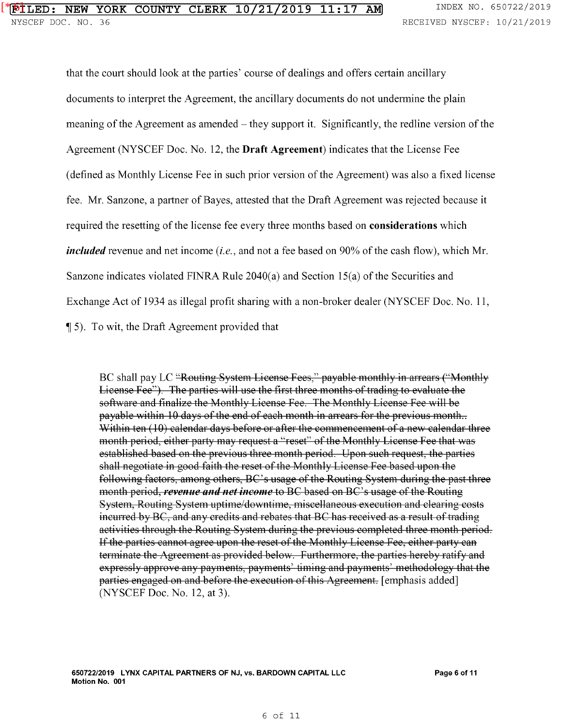that the court should look at the parties' course of dealings and offers certain ancillary documents to interpret the Agreement, the ancillary documents do not undermine the plain meaning of the Agreement as amended - they support it. Significantly, the redline version of the Agreement (NYSCEF Doc. No. 12, the Draft Agreement) indicates that the License Fee (defined as Monthly License Fee in such prior version of the Agreement) was also a fixed license fee. Mr. Sanzone, a partner of Bayes, attested that the Draft Agreement was rejected because it required the resetting of the license fee every three months based on considerations which *included* revenue and net income *(i.e.,* and not a fee based on 90% of the cash flow), which Mr. Sanzone indicates violated FINRA Rule 2040(a) and Section 15(a) of the Securities and Exchange Act of 1934 as illegal profit sharing with a non-broker dealer (NYSCEF Doc. No. 11,  $\P$  5). To wit, the Draft Agreement provided that

BC shall pay LC "Routing System License Fees," payable monthly in arrears ("Monthly License Fee"). The parties will use the first three months of trading to evaluate the software and finalize the Monthly License Fee. The Monthly License Fee will be payable within 10 days of the end of each month in arrears for the previous month... Within ten  $(10)$  calendar days before or after the commencement of a new calendar three month period, either party may request a "reset" of the Monthly License Fee that was established based on the previous three month period. Upon such request, the parties shall negotiate in good faith the reset of the Monthly License Fee based upon the following factors, among others, BC's usage of the Routing System during the past three month period, *reyenue and net income* to BC based on BC' s usage of the Routing System, Routing System uptime/downtime, miscellaneous execution and clearing costs incurred by BC, and any credits and rebates that BC has received as a result of trading activities through the Routing System during the previous completed three month period. If the parties cannot agree upon the reset of the Monthly License Fee, either party can terminate the Agreement as provided below. Furthermore, the parties hereby ratify and expressly approve any payments, payments' timing and payments' methodology that the parties engaged on and before the execution of this Agreement. [emphasis added] (NYSCEF Doc. No. 12, at 3).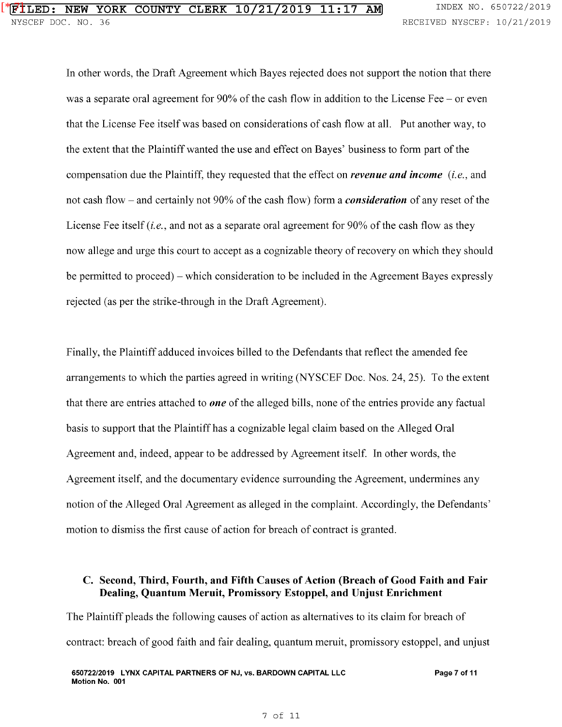In other words, the Draft Agreement which Bayes rejected does not support the notion that there was a separate oral agreement for  $90\%$  of the cash flow in addition to the License Fee – or even that the License Fee itself was based on considerations of cash flow at all. Put another way, to the extent that the Plaintiff wanted the use and effect on Bayes' business to form part of the compensation due the Plaintiff, they requested that the effect on *revenue and income (i.e.,* and not cash flow - and certainly not 90% of the cash flow) form a *consideration* of any reset of the License Fee itself *(i.e.,* and not as a separate oral agreement for 90% of the cash flow as they now allege and urge this court to accept as a cognizable theory of recovery on which they should be permitted to proceed) - which consideration to be included in the Agreement Bayes expressly rejected (as per the strike-through in the Draft Agreement).

Finally, the Plaintiff adduced invoices billed to the Defendants that reflect the amended fee arrangements to which the parties agreed in writing (NYSCEF Doc. Nos. 24, 25). To the extent that there are entries attached to *one* of the alleged bills, none of the entries provide any factual basis to support that the Plaintiff has a cognizable legal claim based on the Alleged Oral Agreement and, indeed, appear to be addressed by Agreement itself. In other words, the Agreement itself, and the documentary evidence surrounding the Agreement, undermines any notion of the Alleged Oral Agreement as alleged in the complaint. Accordingly, the Defendants' motion to dismiss the first cause of action for breach of contract is granted.

# **C. Second, Third, Fourth, and Fifth Causes of Action (Breach of Good Faith and Fair Dealing, Quantum Meruit, Promissory Estoppel, and Unjust Enrichment**

The Plaintiff pleads the following causes of action as alternatives to its claim for breach of contract: breach of good faith and fair dealing, quantum meruit, promissory estoppel, and unjust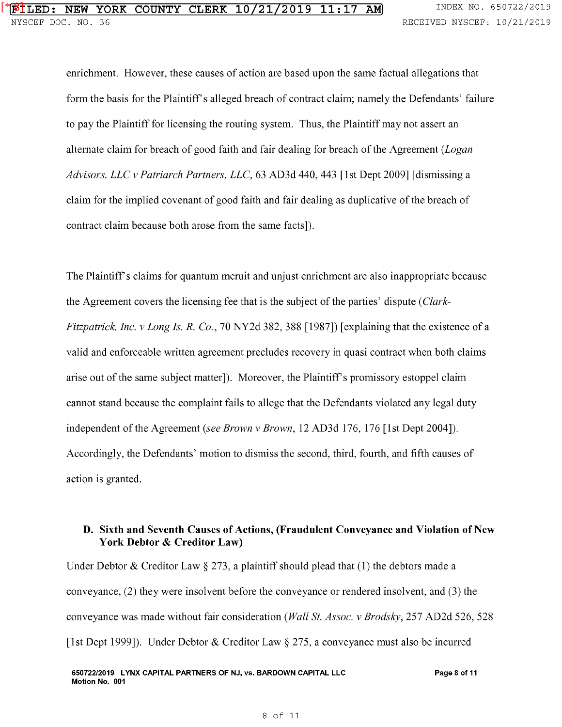enrichment. However, these causes of action are based upon the same factual allegations that form the basis for the Plaintiff's alleged breach of contract claim; namely the Defendants' failure to pay the Plaintiff for licensing the routing system. Thus, the Plaintiff may not assert an alternate claim for breach of good faith and fair dealing for breach of the Agreement *(Logan Advisors, LLC v Patriarch Partners, LLC,* 63 AD3d 440, 443 [1st Dept 2009] [dismissing a claim for the implied covenant of good faith and fair dealing as duplicative of the breach of contract claim because both arose from the same facts]).

The Plaintiff's claims for quantum meruit and unjust enrichment are also inappropriate because the Agreement covers the licensing fee that is the subject of the parties' dispute *(Clark-Fitzpatrick, Inc. v Long Is. R. Co.,* 70 NY2d 382, 388 [1987]) [explaining that the existence of a valid and enforceable written agreement precludes recovery in quasi contract when both claims arise out of the same subject matter]). Moreover, the Plaintiffs promissory estoppel claim cannot stand because the complaint fails to allege that the Defendants violated any legal duty independent of the Agreement *(see Brown v Brown,* 12 AD3d 176, 176 [1st Dept 2004]). Accordingly, the Defendants' motion to dismiss the second, third, fourth, and fifth causes of action is granted.

# **D. Sixth and Seventh Causes of Actions, (Fraudulent Conveyance and Violation of New York Debtor & Creditor Law)**

Under Debtor & Creditor Law  $\S 273$ , a plaintiff should plead that (1) the debtors made a conveyance, (2) they were insolvent before the conveyance or rendered insolvent, and (3) the conveyance was made without fair consideration *(Wall St. Assoc. v Brodsky,* 257 AD2d 526, 528 [1st Dept 1999]). Under Debtor & Creditor Law § 275, a conveyance must also be incurred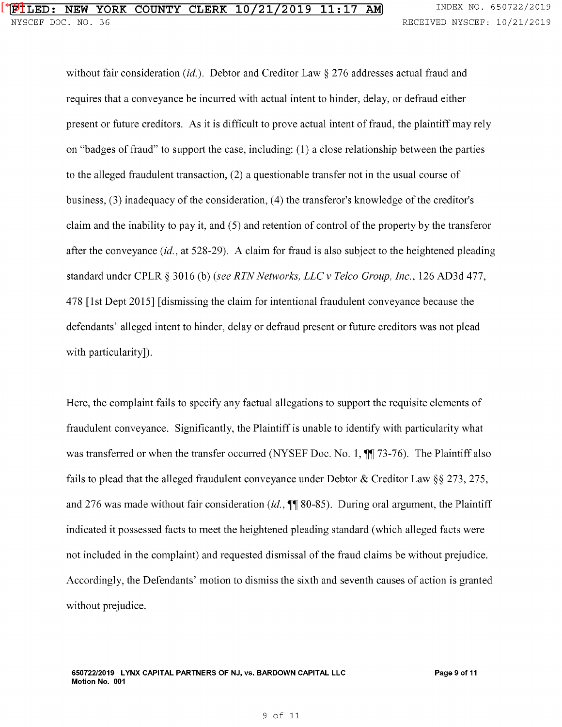without fair consideration (*id.*). Debtor and Creditor Law  $\S 276$  addresses actual fraud and requires that a conveyance be incurred with actual intent to hinder, delay, or defraud either present or future creditors. As it is difficult to prove actual intent of fraud, the plaintiff may rely on "badges of fraud" to support the case, including: ( **1)** a close relationship between the parties to the alleged fraudulent transaction, (2) a questionable transfer not in the usual course of business, (3) inadequacy of the consideration, (4) the transferor's knowledge of the creditor's claim and the inability to pay it, and ( 5) and retention of control of the property by the transferor after the conveyance  $(id, at 528-29)$ . A claim for fraud is also subject to the heightened pleading standard under CPLR § 3016 (b) *(see RTN Networks, LLC v Telco Group, Inc.,* 126 AD3d 477, 478 [1st Dept 2015] [dismissing the claim for intentional fraudulent conveyance because the defendants' alleged intent to hinder, delay or defraud present or future creditors was not plead with particularity]).

Here, the complaint fails to specify any factual allegations to support the requisite elements of fraudulent conveyance. Significantly, the Plaintiff is unable to identify with particularity what was transferred or when the transfer occurred (NYSEF Doc. No. 1,  $\P$ ] 73-76). The Plaintiff also fails to plead that the alleged fraudulent conveyance under Debtor & Creditor Law§§ 273, 275, and 276 was made without fair consideration (id.,  $\mathbb{I}$  80-85). During oral argument, the Plaintiff indicated it possessed facts to meet the heightened pleading standard (which alleged facts were not included in the complaint) and requested dismissal of the fraud claims be without prejudice. Accordingly, the Defendants' motion to dismiss the sixth and seventh causes of action is granted without prejudice.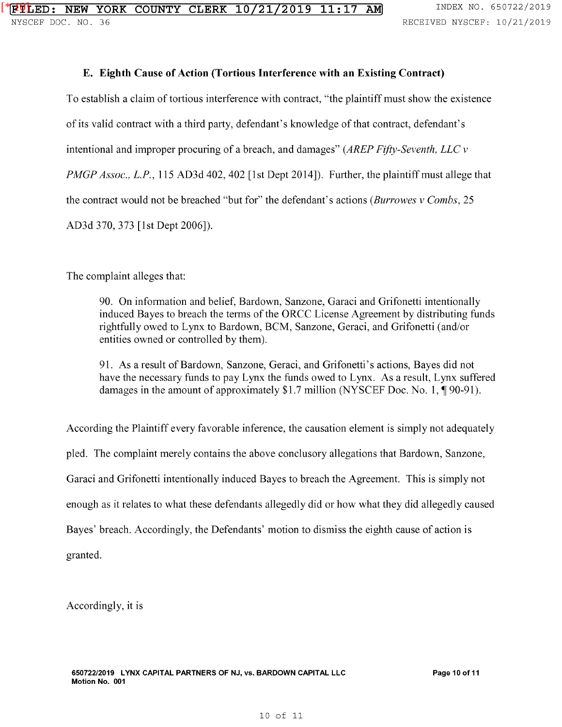## **E. Eighth Cause of Action (Tortious Interference with an Existing Contract)**

To establish a claim of tortious interference with contract, "the plaintiff must show the existence of its valid contract with a third party, defendant's knowledge of that contract, defendant's intentional and improper procuring of a breach, and damages" *(AREP Fifty-Seventh, LLC v PMGP Assoc., L.P.*, 115 AD3d 402, 402 [1st Dept 2014]). Further, the plaintiff must allege that the contract would not be breached "but for" the defendant's actions *(Burrowes v Combs,* 25 AD3d 370, 373 [1st Dept 2006]).

The complaint alleges that:

90. On information and belief, Bardown, Sanzone, Garaci and Grifonetti intentionally induced Bayes to breach the terms of the ORCC License Agreement by distributing funds rightfully owed to Lynx to Bardown, BCM, Sanzone, Geraci, and Grifonetti (and/or entities owned or controlled by them).

91. As a result of Bardown, Sanzone, Geraci, and Grifonetti's actions, Bayes did not have the necessary funds to pay Lynx the funds owed to Lynx. As a result, Lynx suffered damages in the amount of approximately \$1.7 million (NYSCEF Doc. No. 1,  $\P$ 90-91).

According the Plaintiff every favorable inference, the causation element is simply not adequately pled. The complaint merely contains the above conclusory allegations that Bardown, Sanzone, Garaci and Grifonetti intentionally induced Bayes to breach the Agreement. This is simply not enough as it relates to what these defendants allegedly did or how what they did allegedly caused Bayes' breach. Accordingly, the Defendants' motion to dismiss the eighth cause of action is granted.

Accordingly, it is